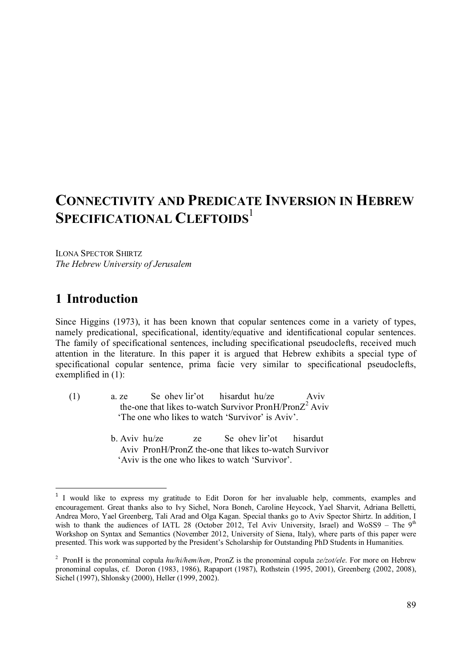# **CONNECTIVITY AND PREDICATE INVERSION IN HEBREW SPECIFICATIONAL CLEFTOIDS**<sup>1</sup>

ILONA SPECTOR SHIRTZ *The Hebrew University of Jerusalem*

## **1** Introduction

-

Since Higgins (1973), it has been known that copular sentences come in a variety of types, namely predicational, specificational, identity/equative and identificational copular sentences. The family of specificational sentences, including specificational pseudoclefts, received much attention in the literature. In this paper it is argued that Hebrew exhibits a special type of specificational copular sentence, prima facie very similar to specificational pseudoclefts, exemplified in (1):  $\mathcal{X}^{\mathcal{X}}$ 

- (1) a. ze Se ohev lir'ot hisardut hu/ze Aviv the-one that likes to-watch Survivor PronH/Pron $Z^2$  Aviv 'The one who likes to watch 'Survivor' is Aviv'.
	- b. Aviv hu/ze ze Se ohev lir'ot hisardut Aviv PronH/PronZ the-one that likes to-watch Survivor 'Aviv is the one who likes to watch 'Survivor'.

<sup>&</sup>lt;sup>1</sup> I would like to express my gratitude to Edit Doron for her invaluable help, comments, examples and encouragement. Great thanks also to Ivy Sichel, Nora Boneh, Caroline Heycock, Yael Sharvit, Adriana Belletti, Andrea Moro, Yael Greenberg, Tali Arad and Olga Kagan. Special thanks go to Aviv Spector Shirtz. In addition, I wish to thank the audiences of IATL 28 (October 2012, Tel Aviv University, Israel) and WoSS9 – The 9<sup>th</sup> Workshop on Syntax and Semantics (November 2012, University of Siena, Italy), where parts of this paper were presented. This work was supported by the President's Scholarship for Outstanding PhD Students in Humanities.

<sup>2</sup> PronH is the pronominal copula *hu/hi/hem*/*hen*, PronZ is the pronominal copula *ze/zot/ele*. For more on Hebrew pronominal copulas, cf. Doron (1983, 1986), Rapaport (1987), Rothstein (1995, 2001), Greenberg (2002, 2008), Sichel (1997), Shlonsky (2000), Heller (1999, 2002).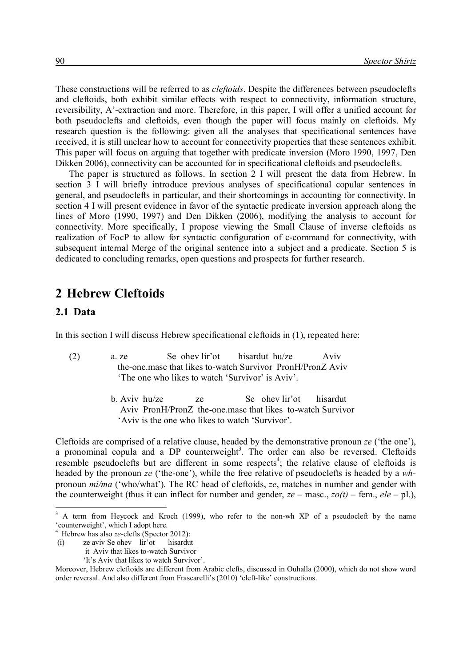These constructions will be referred to as *cleftoids*. Despite the differences between pseudoclefts and cleftoids, both exhibit similar effects with respect to connectivity, information structure, reversibility, A'-extraction and more. Therefore, in this paper, I will offer a unified account for both pseudoclefts and cleftoids, even though the paper will focus mainly on cleftoids. My research question is the following: given all the analyses that specificational sentences have received, it is still unclear how to account for connectivity properties that these sentences exhibit. This paper will focus on arguing that together with predicate inversion (Moro 1990, 1997, Den Dikken 2006), connectivity can be accounted for in specificational cleftoids and pseudoclefts.

The paper is structured as follows. In section 2 I will present the data from Hebrew. In section 3 I will briefly introduce previous analyses of specificational copular sentences in general, and pseudoclefts in particular, and their shortcomings in accounting for connectivity. In section 4 I will present evidence in favor of the syntactic predicate inversion approach along the lines of Moro (1990, 1997) and Den Dikken (2006), modifying the analysis to account for connectivity. More specifically, I propose viewing the Small Clause of inverse cleftoids as realization of FocP to allow for syntactic configuration of c-command for connectivity, with subsequent internal Merge of the original sentence into a subject and a predicate. Section 5 is dedicated to concluding remarks, open questions and prospects for further research.

### **2**x**Hebrew Cleftoids**

#### **2.1**x**Data**

-

In this section I will discuss Hebrew specificational cleftoids in (1), repeated here:

- (2) a. ze Se ohev lir'ot hisardut hu/ze Aviv the-one.masc that likes to-watch Survivor PronH/PronZ Aviv 'The one who likes to watch 'Survivor' is Aviv'.
	- b. Aviv hu/ze ze Se ohev lir'ot hisardut Aviv PronH/PronZ the-one.masc that likes to-watch Survivor 'Aviv is the one who likes to watch 'Survivor'.

Cleftoids are comprised of a relative clause, headed by the demonstrative pronoun *ze* ('the one'), a pronominal copula and a DP counterweight<sup>3</sup>. The order can also be reversed. Cleftoids resemble pseudoclefts but are different in some respects<sup>4</sup>; the relative clause of cleftoids is headed by the pronoun *ze* ('the-one'), while the free relative of pseudoclefts is headed by a *wh*pronoun *mi/ma* ('who/what'). The RC head of cleftoids, *ze*, matches in number and gender with the counterweight (thus it can inflect for number and gender,  $ze$  – masc.,  $zo(t)$  – fem.,  $ele$  – pl.),

<sup>&</sup>lt;sup>3</sup> A term from Heycock and Kroch (1999), who refer to the non-wh XP of a pseudocleft by the name 'counterweight', which I adopt here.

<sup>4</sup> Hebrew has also *ze*-clefts (Spector 2012):

<sup>(</sup>i) ze aviv Se ohev lir'ot hisardut

it Aviv that likes to-watch Survivor

 <sup>&#</sup>x27;It's Aviv that likes to watch Survivor'.

Moreover, Hebrew cleftoids are different from Arabic clefts, discussed in Ouhalla (2000), which do not show word order reversal. And also different from Frascarelli's (2010) 'cleft-like' constructions.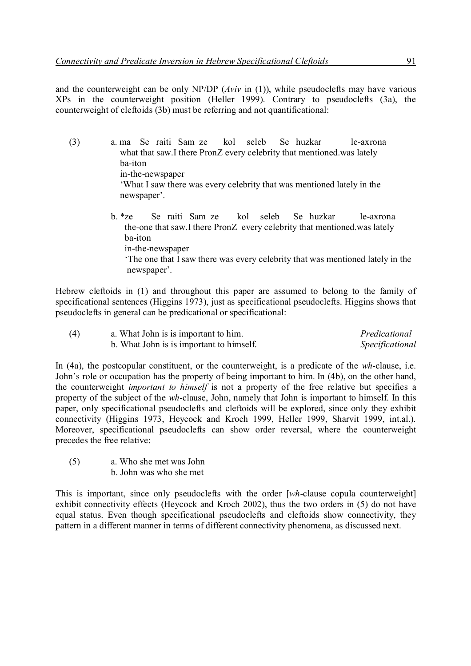and the counterweight can be only NP/DP (*Aviv* in (1)), while pseudoclefts may have various XPs in the counterweight position (Heller 1999). Contrary to pseudoclefts (3a), the counterweight of cleftoids (3b) must be referring and not quantificational:

(3) a. ma Se raiti Sam ze kol seleb Se huzkar le-axrona what that saw.I there PronZ every celebrity that mentioned was lately ba-iton in-the-newspaper 'What I saw there was every celebrity that was mentioned lately in the newspaper'. b. \*ze Se raiti Sam ze kol seleb Se huzkar le-axrona the-one that saw.I there PronZ every celebrity that mentioned.was lately ba-iton in-the-newspaper

> 'The one that I saw there was every celebrity that was mentioned lately in the newspaper'.

Hebrew cleftoids in (1) and throughout this paper are assumed to belong to the family of specificational sentences (Higgins 1973), just as specificational pseudoclefts. Higgins shows that pseudoclefts in general can be predicational or specificational:

| (4) | a. What John is is important to him.     | Predicational   |
|-----|------------------------------------------|-----------------|
|     | b. What John is is important to himself. | Specificational |

In (4a), the postcopular constituent, or the counterweight, is a predicate of the *wh*-clause, i.e. John's role or occupation has the property of being important to him. In (4b), on the other hand, the counterweight *important to himself* is not a property of the free relative but specifies a property of the subject of the *wh*-clause, John, namely that John is important to himself. In this paper, only specificational pseudoclefts and cleftoids will be explored, since only they exhibit connectivity (Higgins 1973, Heycock and Kroch 1999, Heller 1999, Sharvit 1999, int.al.). Moreover, specificational pseudoclefts can show order reversal, where the counterweight precedes the free relative:

(5) a. Who she met was John b. John was who she met

This is important, since only pseudoclefts with the order [*wh*-clause copula counterweight] exhibit connectivity effects (Heycock and Kroch 2002), thus the two orders in (5) do not have equal status. Even though specificational pseudoclefts and cleftoids show connectivity, they pattern in a different manner in terms of different connectivity phenomena, as discussed next.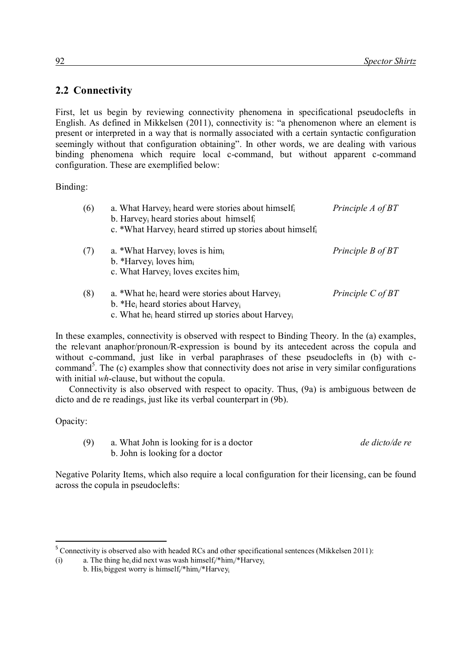### 2.2 **Connectivity**

First, let us begin by reviewing connectivity phenomena in specificational pseudoclefts in English. As defined in Mikkelsen (2011), connectivity is: "a phenomenon where an element is present or interpreted in a way that is normally associated with a certain syntactic configuration seemingly without that configuration obtaining". In other words, we are dealing with various binding phenomena which require local c-command, but without apparent c-command configuration. These are exemplified below:

Binding:

| (6) | a. What Harvey <sub>i</sub> heard were stories about himself <sub>i</sub><br>b. Harvey <sub>i</sub> heard stories about himself.<br>c. *What Harvey <sub>i</sub> heard stirred up stories about himselfi           | Principle A of BT     |
|-----|--------------------------------------------------------------------------------------------------------------------------------------------------------------------------------------------------------------------|-----------------------|
| (7) | a. *What Harvey <sub>i</sub> loves is himi<br>b. *Harvey <sub>i</sub> loves him <sub>i</sub><br>c. What Harvey <sub>i</sub> loves excites himi                                                                     | Principle B of BT     |
| (8) | a. *What he <sub>i</sub> heard were stories about Harvey <sub>i</sub><br>b. *He <sub>i</sub> heard stories about Harvey <sub>i</sub><br>c. What he <sub>i</sub> heard stirred up stories about Harvey <sub>i</sub> | Principle $C$ of $BT$ |

In these examples, connectivity is observed with respect to Binding Theory. In the (a) examples, the relevant anaphor/pronoun/R-expression is bound by its antecedent across the copula and without c-command, just like in verbal paraphrases of these pseudoclefts in (b) with ccommand<sup>5</sup>. The (c) examples show that connectivity does not arise in very similar configurations with initial *wh*-clause, but without the copula.

Connectivity is also observed with respect to opacity. Thus, (9a) is ambiguous between de dicto and de re readings, just like its verbal counterpart in (9b).

Opacity:

-

(9) a. What John is looking for is a doctor *de dicto/de re* b. John is looking for a doctor

Negative Polarity Items, which also require a local configuration for their licensing, can be found across the copula in pseudoclefts:

<sup>&</sup>lt;sup>5</sup> Connectivity is observed also with headed RCs and other specificational sentences (Mikkelsen 2011):

<sup>(</sup>i) a. The thing he<sub>i</sub> did next was wash himself<sub>i</sub>/\*him<sub>i</sub>/\*Harvey<sub>i</sub>

b. His<sub>i</sub> biggest worry is himself<sub>i</sub>/\*him<sub>i</sub>/\*Harvey<sub>i</sub>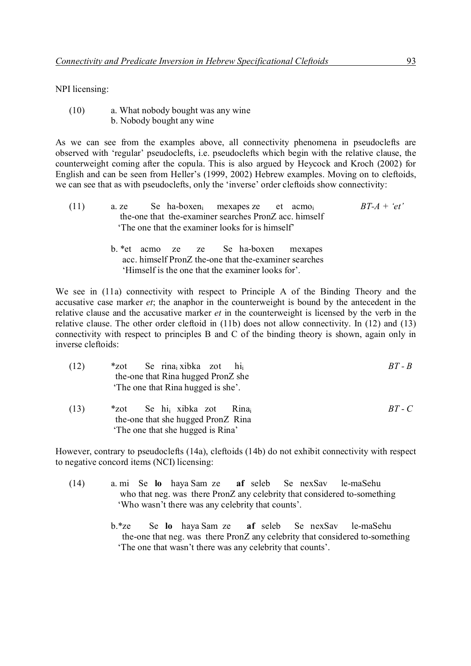NPI licensing:

(10) a. What nobody bought was any wine b. Nobody bought any wine

As we can see from the examples above, all connectivity phenomena in pseudoclefts are observed with 'regular' pseudoclefts, i.e. pseudoclefts which begin with the relative clause, the counterweight coming after the copula. This is also argued by Heycock and Kroch (2002) for English and can be seen from Heller's (1999, 2002) Hebrew examples. Moving on to cleftoids, we can see that as with pseudoclefts, only the 'inverse' order cleftoids show connectivity:

| (11) | a. ze |  | Se ha-boxen <sub>i</sub> mexapes ze et acmo <sub>i</sub> |  | $BT-A + 'et'$ |  |
|------|-------|--|----------------------------------------------------------|--|---------------|--|
|      |       |  | the-one that the-examiner searches PronZ acc. himself    |  |               |  |
|      |       |  | The one that the examiner looks for is himself           |  |               |  |

b. \*et acmo ze ze Se ha-boxen mexapes acc. himself PronZ the-one that the-examiner searches 'Himself is the one that the examiner looks for'.

We see in (11a) connectivity with respect to Principle A of the Binding Theory and the accusative case marker *et*; the anaphor in the counterweight is bound by the antecedent in the relative clause and the accusative marker *et* in the counterweight is licensed by the verb in the relative clause. The other order cleftoid in (11b) does not allow connectivity. In (12) and (13) connectivity with respect to principles B and C of the binding theory is shown, again only in inverse cleftoids:

| (12) | Se rina <sub>i</sub> xibka zot hi <sub>i</sub><br>$*$ zot<br>the-one that Rina hugged PronZ she<br>The one that Rina hugged is she'. | $RT - R$   |
|------|--------------------------------------------------------------------------------------------------------------------------------------|------------|
| (13) | *zot Se hi <sub>i</sub> xibka zot Rina<br>the-one that she hugged PronZ Rina<br>The one that she hugged is Rina'                     | $BT$ - $C$ |

However, contrary to pseudoclefts (14a), cleftoids (14b) do not exhibit connectivity with respect to negative concord items (NCI) licensing:

- (14) a. mi Se **lo** haya Sam ze **af** seleb Se nexSav le-maSehu who that neg. was there PronZ any celebrity that considered to-something 'Who wasn't there was any celebrity that counts'.
	- b.\*ze Se **lo** haya Sam ze **af** seleb Se nexSav le-maSehu the-one that neg. was there PronZ any celebrity that considered to-something 'The one that wasn't there was any celebrity that counts'.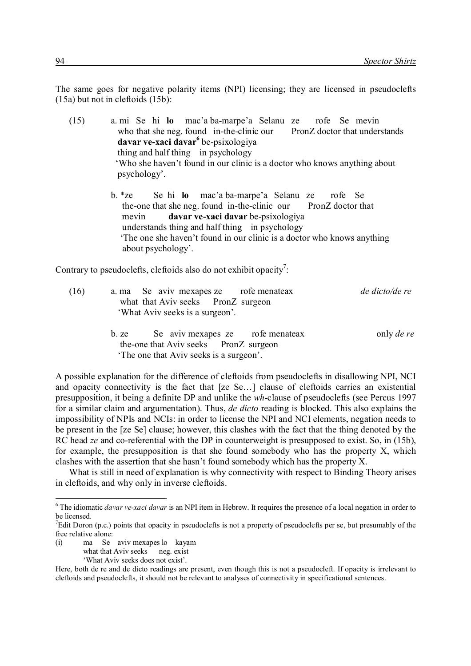The same goes for negative polarity items (NPI) licensing; they are licensed in pseudoclefts (15a) but not in cleftoids (15b):

- (15) a. mi Se hi **lo** mac'a ba-marpe'a Selanu ze rofe Se mevin who that she neg. found in-the-clinic our PronZ doctor that understands **davar ve-xaci davar<sup>6</sup>** be-psixologiya thing and half thing in psychology 'Who she haven't found in our clinic is a doctor who knows anything about psychology'.
	- b. \*ze Se hi **lo** mac'a ba-marpe'a Selanu ze rofe Se the-one that she neg. found in-the-clinic our PronZ doctor that mevin **davar ve-xaci davar** be-psixologiya understands thing and half thing in psychology 'The one she haven't found in our clinic is a doctor who knows anything about psychology'.

Contrary to pseudoclefts, cleftoids also do not exhibit opacity<sup>7</sup>:

| (16) | a. ma Se aviv mexapes ze rofe menateax<br>what that Aviv seeks PronZ surgeon<br>'What Aviv seeks is a surgeon'.                                                                                                                                                                                                                                                                                                                                                                            | de dicto/de re    |
|------|--------------------------------------------------------------------------------------------------------------------------------------------------------------------------------------------------------------------------------------------------------------------------------------------------------------------------------------------------------------------------------------------------------------------------------------------------------------------------------------------|-------------------|
|      | b. ze Se aviv mexapes ze rofe menateax<br>the-one that Aviv seeks PronZ surgeon<br>The one that Aviv seeks is a surgeon'.                                                                                                                                                                                                                                                                                                                                                                  | only <i>de re</i> |
|      | $\blacksquare$ $\blacksquare$ $\blacksquare$ $\blacksquare$ $\blacksquare$ $\blacksquare$ $\blacksquare$ $\blacksquare$ $\blacksquare$ $\blacksquare$ $\blacksquare$ $\blacksquare$ $\blacksquare$ $\blacksquare$ $\blacksquare$ $\blacksquare$ $\blacksquare$ $\blacksquare$ $\blacksquare$ $\blacksquare$ $\blacksquare$ $\blacksquare$ $\blacksquare$ $\blacksquare$ $\blacksquare$ $\blacksquare$ $\blacksquare$ $\blacksquare$ $\blacksquare$ $\blacksquare$ $\blacksquare$ $\blacks$ |                   |

A possible explanation for the difference of cleftoids from pseudoclefts in disallowing NPI, NCI and opacity connectivity is the fact that [ze Se…] clause of cleftoids carries an existential presupposition, it being a definite DP and unlike the *wh*-clause of pseudoclefts (see Percus 1997 for a similar claim and argumentation). Thus, *de dicto* reading is blocked. This also explains the impossibility of NPIs and NCIs: in order to license the NPI and NCI elements, negation needs to be present in the [ze Se] clause; however, this clashes with the fact that the thing denoted by the RC head *ze* and co-referential with the DP in counterweight is presupposed to exist. So, in (15b), for example, the presupposition is that she found somebody who has the property X, which clashes with the assertion that she hasn't found somebody which has the property X.

What is still in need of explanation is why connectivity with respect to Binding Theory arises in cleftoids, and why only in inverse cleftoids.

(i) ma Se aviv mexapes lo kayam what that Aviv seeks neg. exist

-

'What Aviv seeks does not exist'.

<sup>&</sup>lt;sup>6</sup> The idiomatic *davar ve-xaci davar* is an NPI item in Hebrew. It requires the presence of a local negation in order to be licensed.

<sup>&</sup>lt;sup>7</sup>Edit Doron (p.c.) points that opacity in pseudoclefts is not a property of pseudoclefts per se, but presumably of the free relative alone:

Here, both de re and de dicto readings are present, even though this is not a pseudocleft. If opacity is irrelevant to cleftoids and pseudoclefts, it should not be relevant to analyses of connectivity in specificational sentences.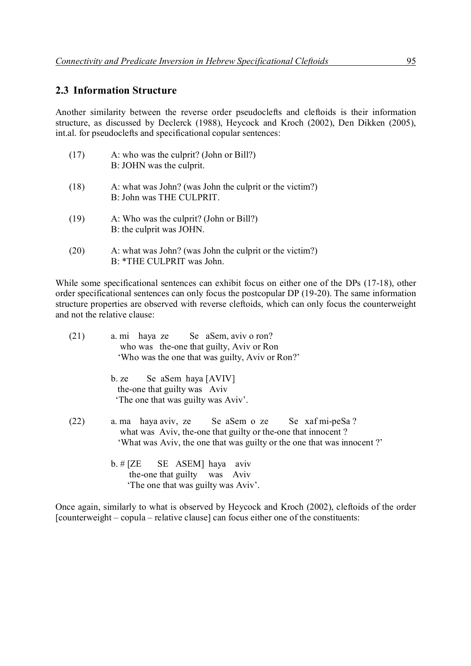#### **2.3 Information Structure**

Another similarity between the reverse order pseudoclefts and cleftoids is their information structure, as discussed by Declerck (1988), Heycock and Kroch (2002), Den Dikken (2005), int.al. for pseudoclefts and specificational copular sentences:

| (17) | A: who was the culprit? (John or Bill?)<br>B: JOHN was the culprit.                  |
|------|--------------------------------------------------------------------------------------|
| (18) | A: what was John? (was John the culprit or the victim?)<br>B: John was THE CULPRIT.  |
| (19) | A: Who was the culprit? (John or Bill?)<br>B: the culprit was JOHN.                  |
| (20) | A: what was John? (was John the culprit or the victim?)<br>B: *THE CULPRIT was John. |

While some specificational sentences can exhibit focus on either one of the DPs (17-18), other order specificational sentences can only focus the postcopular DP (19-20). The same information structure properties are observed with reverse cleftoids, which can only focus the counterweight and not the relative clause:

| (21) | a. mi haya ze Se aSem, aviv o ron?<br>who was the-one that guilty, Aviv or Ron<br>'Who was the one that was guilty, Aviv or Ron?'                                                         |
|------|-------------------------------------------------------------------------------------------------------------------------------------------------------------------------------------------|
|      | b. ze Se aSem haya $[AVIV]$<br>the-one that guilty was Aviv<br>The one that was guilty was Aviv'.                                                                                         |
| (22) | a ma haya aviv, ze Se aSem o ze Se xaf mi-peSa?<br>what was Aviv, the-one that guilty or the-one that innocent?<br>'What was Aviv, the one that was guilty or the one that was innocent?' |
|      | $b.$ # [ZE SE ASEM] haya aviv                                                                                                                                                             |

 the-one that guilty was Aviv 'The one that was guilty was Aviv'.

Once again, similarly to what is observed by Heycock and Kroch (2002), cleftoids of the order [counterweight – copula – relative clause] can focus either one of the constituents: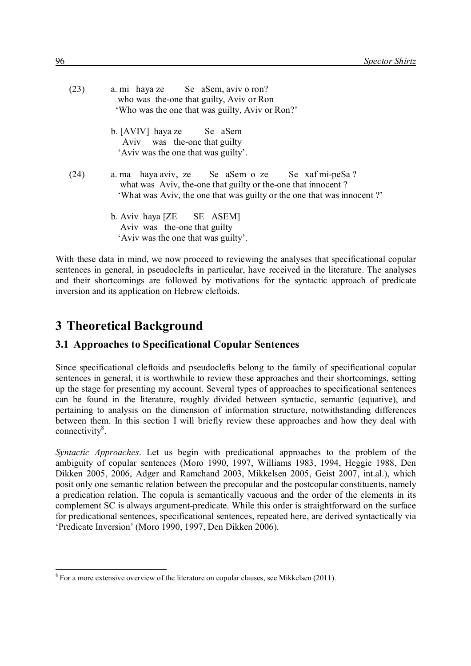| (23) | a. mi haya ze Se aSem, aviv o ron?<br>who was the-one that guilty, Aviv or Ron<br>'Who was the one that was guilty, Aviv or Ron?'                                                         |
|------|-------------------------------------------------------------------------------------------------------------------------------------------------------------------------------------------|
|      | b. [AVIV] haya ze Se aSem<br>Aviv was the-one that guilty<br>'Aviv was the one that was guilty'.                                                                                          |
| (24) | a ma haya aviv, ze Se aSem o ze Se xaf mi-peSa?<br>what was Aviv, the-one that guilty or the-one that innocent?<br>'What was Aviv, the one that was guilty or the one that was innocent?' |
|      | b. Aviv haya [ZE SE ASEM]<br>Aviv was the-one that guilty<br>'Aviv was the one that was guilty'.                                                                                          |

With these data in mind, we now proceed to reviewing the analyses that specificational copular sentences in general, in pseudoclefts in particular, have received in the literature. The analyses and their shortcomings are followed by motivations for the syntactic approach of predicate inversion and its application on Hebrew cleftoids.

## **3**x**Theoretical Background**

### **3.1 Approaches to Specificational Copular Sentences**

Since specificational cleftoids and pseudoclefts belong to the family of specificational copular sentences in general, it is worthwhile to review these approaches and their shortcomings, setting up the stage for presenting my account. Several types of approaches to specificational sentences can be found in the literature, roughly divided between syntactic, semantic (equative), and pertaining to analysis on the dimension of information structure, notwithstanding differences between them. In this section I will briefly review these approaches and how they deal with connectivity<sup>8</sup>.

*Syntactic Approaches*. Let us begin with predicational approaches to the problem of the ambiguity of copular sentences (Moro 1990, 1997, Williams 1983, 1994, Heggie 1988, Den Dikken 2005, 2006, Adger and Ramchand 2003, Mikkelsen 2005, Geist 2007, int.al.), which posit only one semantic relation between the precopular and the postcopular constituents, namely a predication relation. The copula is semantically vacuous and the order of the elements in its complement SC is always argument-predicate. While this order is straightforward on the surface for predicational sentences, specificational sentences, repeated here, are derived syntactically via 'Predicate Inversion' (Moro 1990, 1997, Den Dikken 2006).

<sup>-</sup> $8 \text{ For a more extensive overview of the literature on copular clauses, see Mikkelsen (2011).}$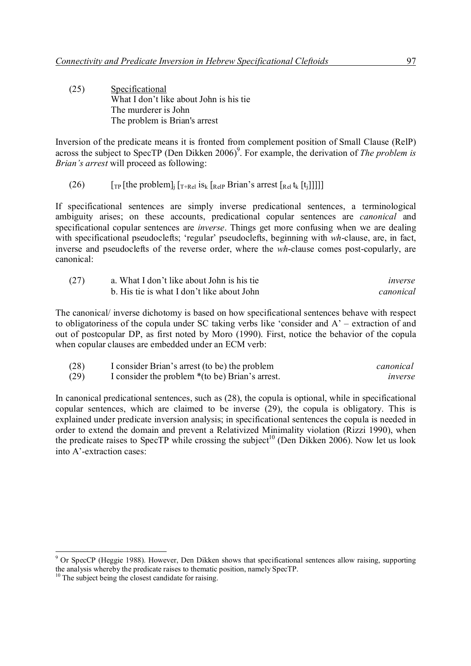(25) Specificational What I don't like about John is his tie The murderer is John The problem is Brian's arrest

Inversion of the predicate means it is fronted from complement position of Small Clause (RelP) across the subject to SpecTP (Den Dikken 2006)<sup>9</sup>. For example, the derivation of *The problem is Brian's arrest* will proceed as following:

(26)  $\left[\text{Tr}\left[\text{the problem}\right]_{i}\left[\text{T+Rel}\right]_{i}\right]_{i}^{T}$  [Relp Brian's arrest  $\left[\text{Rel}\left[t_{i}\right]\right]_{i}^{T}$ ]]

If specificational sentences are simply inverse predicational sentences, a terminological ambiguity arises; on these accounts, predicational copular sentences are *canonical* and specificational copular sentences are *inverse*. Things get more confusing when we are dealing with specificational pseudoclefts; 'regular' pseudoclefts, beginning with *wh*-clause, are, in fact, inverse and pseudoclefts of the reverse order, where the *wh*-clause comes post-copularly, are canonical:

| (27) | a. What I don't like about John is his tie | inverse   |
|------|--------------------------------------------|-----------|
|      | b. His tie is what I don't like about John | canonical |

The canonical/ inverse dichotomy is based on how specificational sentences behave with respect to obligatoriness of the copula under SC taking verbs like 'consider and A' – extraction of and out of postcopular DP, as first noted by Moro (1990). First, notice the behavior of the copula when copular clauses are embedded under an ECM verb:

| (28) | I consider Brian's arrest (to be) the problem   | canonical |
|------|-------------------------------------------------|-----------|
| (29) | I consider the problem *(to be) Brian's arrest. | inverse   |

In canonical predicational sentences, such as (28), the copula is optional, while in specificational copular sentences, which are claimed to be inverse (29), the copula is obligatory. This is explained under predicate inversion analysis; in specificational sentences the copula is needed in order to extend the domain and prevent a Relativized Minimality violation (Rizzi 1990), when the predicate raises to SpecTP while crossing the subject<sup>10</sup> (Den Dikken 2006). Now let us look into A'-extraction cases:

<sup>&</sup>lt;sup>9</sup> Or SpecCP (Heggie 1988). However, Den Dikken shows that specificational sentences allow raising, supporting the analysis whereby the predicate raises to thematic position, namely SpecTP.

 $10$  The subject being the closest candidate for raising.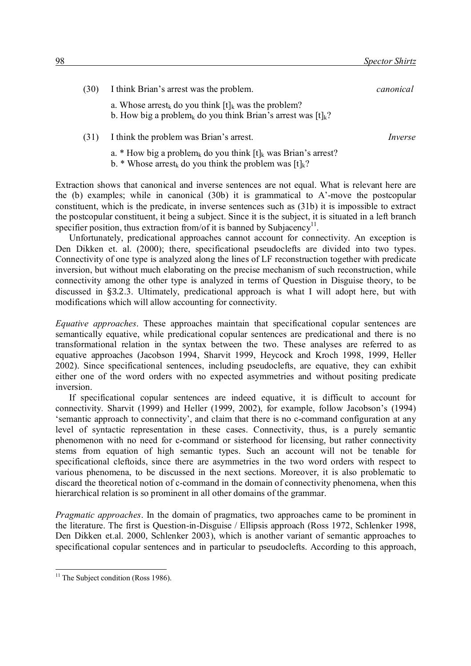| (30) | I think Brian's arrest was the problem.                                                                                                                    | canonical |
|------|------------------------------------------------------------------------------------------------------------------------------------------------------------|-----------|
|      | a. Whose arrest <sub>k</sub> do you think $[t]_k$ was the problem?<br>b. How big a problem <sub>k</sub> do you think Brian's arrest was [t] <sub>k</sub> ? |           |
| (31) | I think the problem was Brian's arrest.                                                                                                                    | Inverse   |

a. \* How big a problem<sub>k</sub> do you think  $[t]_k$  was Brian's arrest?

b. \* Whose arrest<sub>k</sub> do you think the problem was  $[t]_k$ ?

Extraction shows that canonical and inverse sentences are not equal. What is relevant here are the (b) examples; while in canonical (30b) it is grammatical to A'-move the postcopular constituent, which is the predicate, in inverse sentences such as (31b) it is impossible to extract the postcopular constituent, it being a subject. Since it is the subject, it is situated in a left branch specifier position, thus extraction from/of it is banned by Subjacency<sup>11</sup>.

Unfortunately, predicational approaches cannot account for connectivity. An exception is Den Dikken et. al. (2000); there, specificational pseudoclefts are divided into two types. Connectivity of one type is analyzed along the lines of LF reconstruction together with predicate inversion, but without much elaborating on the precise mechanism of such reconstruction, while connectivity among the other type is analyzed in terms of Question in Disguise theory, to be discussed in §3.2.3. Ultimately, predicational approach is what I will adopt here, but with modifications which will allow accounting for connectivity.

*Equative approaches*. These approaches maintain that specificational copular sentences are semantically equative, while predicational copular sentences are predicational and there is no transformational relation in the syntax between the two. These analyses are referred to as equative approaches (Jacobson 1994, Sharvit 1999, Heycock and Kroch 1998, 1999, Heller 2002). Since specificational sentences, including pseudoclefts, are equative, they can exhibit either one of the word orders with no expected asymmetries and without positing predicate inversion.

If specificational copular sentences are indeed equative, it is difficult to account for connectivity. Sharvit (1999) and Heller (1999, 2002), for example, follow Jacobson's (1994) 'semantic approach to connectivity', and claim that there is no c-command configuration at any level of syntactic representation in these cases. Connectivity, thus, is a purely semantic phenomenon with no need for c-command or sisterhood for licensing, but rather connectivity stems from equation of high semantic types. Such an account will not be tenable for specificational cleftoids, since there are asymmetries in the two word orders with respect to various phenomena, to be discussed in the next sections. Moreover, it is also problematic to discard the theoretical notion of c-command in the domain of connectivity phenomena, when this hierarchical relation is so prominent in all other domains of the grammar.

*Pragmatic approaches*. In the domain of pragmatics, two approaches came to be prominent in the literature. The first is Question-in-Disguise / Ellipsis approach (Ross 1972, Schlenker 1998, Den Dikken et.al. 2000, Schlenker 2003), which is another variant of semantic approaches to specificational copular sentences and in particular to pseudoclefts. According to this approach,

 $11$  The Subject condition (Ross 1986).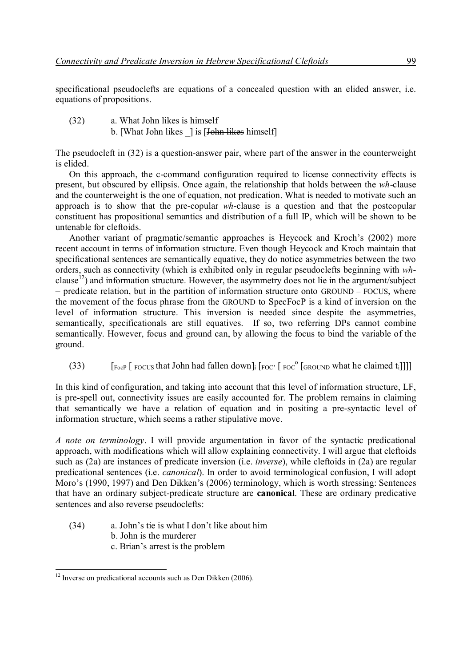specificational pseudoclefts are equations of a concealed question with an elided answer, i.e. equations of propositions.

- (32) a. What John likes is himself
	- b. [What John likes  $\parallel$  is [John likes himself]

The pseudocleft in (32) is a question-answer pair, where part of the answer in the counterweight is elided.

On this approach, the c-command configuration required to license connectivity effects is present, but obscured by ellipsis. Once again, the relationship that holds between the *wh*-clause and the counterweight is the one of equation, not predication. What is needed to motivate such an approach is to show that the pre-copular *wh*-clause is a question and that the postcopular constituent has propositional semantics and distribution of a full IP, which will be shown to be untenable for cleftoids.

Another variant of pragmatic/semantic approaches is Heycock and Kroch's (2002) more recent account in terms of information structure. Even though Heycock and Kroch maintain that specificational sentences are semantically equative, they do notice asymmetries between the two orders, such as connectivity (which is exhibited only in regular pseudoclefts beginning with *wh*clause<sup>12</sup>) and information structure. However, the asymmetry does not lie in the argument/subject – predicate relation, but in the partition of information structure onto GROUND – FOCUS, where the movement of the focus phrase from the GROUND to SpecFocP is a kind of inversion on the level of information structure. This inversion is needed since despite the asymmetries, semantically, specificationals are still equatives. If so, two referring DPs cannot combine semantically. However, focus and ground can, by allowing the focus to bind the variable of the ground.

(33)  $\left[\begin{array}{cc} \text{[FocP] FocUs} \end{array} \right]$  [soch had fallen down]<sub>i</sub>  $\left[\begin{array}{cc} \text{[Foc]} \end{array} \right]$   $\left[\begin{array}{cc} \text{[FocVND] Foc} \end{array} \right]$  [ $\left[\begin{array}{cc} \text{[FocVND]} \end{array} \right]$ ]

In this kind of configuration, and taking into account that this level of information structure, LF, is pre-spell out, connectivity issues are easily accounted for. The problem remains in claiming that semantically we have a relation of equation and in positing a pre-syntactic level of information structure, which seems a rather stipulative move.

*A note on terminology*. I will provide argumentation in favor of the syntactic predicational approach, with modifications which will allow explaining connectivity. I will argue that cleftoids such as (2a) are instances of predicate inversion (i.e. *inverse*), while cleftoids in (2a) are regular predicational sentences (i.e. *canonical*). In order to avoid terminological confusion, I will adopt Moro's (1990, 1997) and Den Dikken's (2006) terminology, which is worth stressing: Sentences that have an ordinary subject-predicate structure are **canonical**. These are ordinary predicative sentences and also reverse pseudoclefts:

- (34) a. John's tie is what I don't like about him
	- b. John is the murderer
	- c. Brian's arrest is the problem

<sup>-</sup> $12$  Inverse on predicational accounts such as Den Dikken (2006).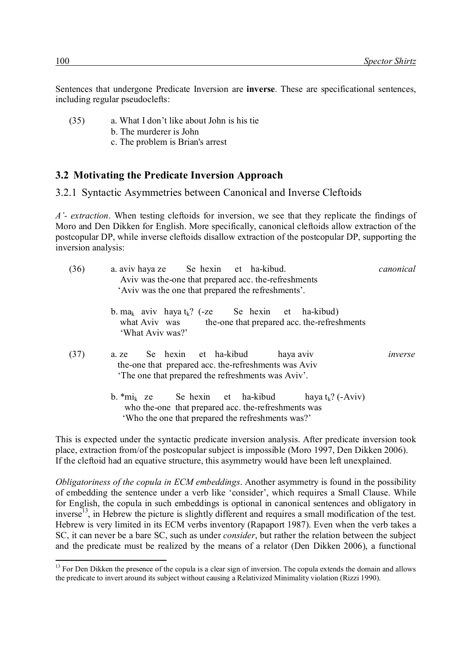Sentences that undergone Predicate Inversion are **inverse**. These are specificational sentences, including regular pseudoclefts:

- (35) a. What I don't like about John is his tie
	- b. The murderer is John
	- c. The problem is Brian's arrest

#### **3.2**x**Motivating the Predicate Inversion Approach**

3.2.1 Syntactic Asymmetries between Canonical and Inverse Cleftoids

*A'- extraction*. When testing cleftoids for inversion, we see that they replicate the findings of Moro and Den Dikken for English. More specifically, canonical cleftoids allow extraction of the postcopular DP, while inverse cleftoids disallow extraction of the postcopular DP, supporting the inversion analysis:

| (36) | a. aviv haya ze Se hexin et ha-kibud.<br>Aviv was the one that prepared acc. the refreshments<br>'Aviv was the one that prepared the refreshments'.                              | canonical |
|------|----------------------------------------------------------------------------------------------------------------------------------------------------------------------------------|-----------|
|      | b. ma <sub>k</sub> aviv haya $t_k$ ? (-ze Se hexin et ha-kibud)<br>what Aviv was the-one that prepared acc. the-refreshments<br>'What Aviv was?'                                 |           |
| (37) | a ze Se hexin et ha-kibud<br>haya aviv<br>the-one that prepared acc. the-refreshments was Aviv<br>The one that prepared the refreshments was Aviv'.                              | inverse   |
|      | $b.$ *mi <sub>k</sub> ze Sehexin et ha-kibud<br>haya $t_k$ ? (-Aviv)<br>who the one that prepared acc. the refreshments was<br>'Who the one that prepared the refreshments was?' |           |
|      |                                                                                                                                                                                  |           |

This is expected under the syntactic predicate inversion analysis. After predicate inversion took place, extraction from/of the postcopular subject is impossible (Moro 1997, Den Dikken 2006). If the cleftoid had an equative structure, this asymmetry would have been left unexplained.

*Obligatoriness of the copula in ECM embeddings*. Another asymmetry is found in the possibility of embedding the sentence under a verb like 'consider', which requires a Small Clause. While for English, the copula in such embeddings is optional in canonical sentences and obligatory in inverse<sup>13</sup>, in Hebrew the picture is slightly different and requires a small modification of the test. Hebrew is very limited in its ECM verbs inventory (Rapaport 1987). Even when the verb takes a SC, it can never be a bare SC, such as under *consider*, but rather the relation between the subject and the predicate must be realized by the means of a relator (Den Dikken 2006), a functional

<sup>&</sup>lt;sup>13</sup> For Den Dikken the presence of the copula is a clear sign of inversion. The copula extends the domain and allows the predicate to invert around its subject without causing a Relativized Minimality violation (Rizzi 1990).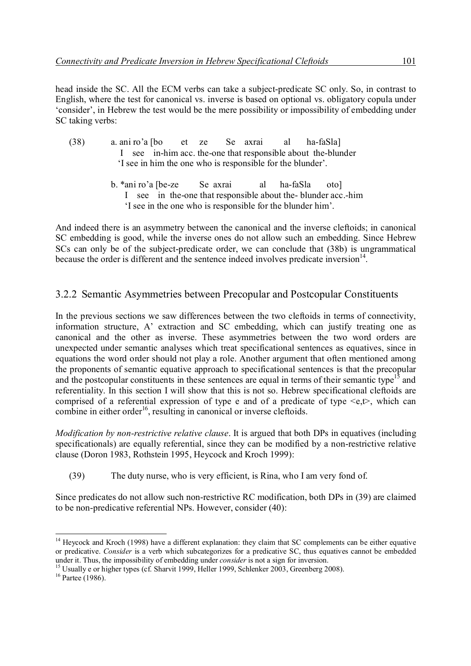head inside the SC. All the ECM verbs can take a subject-predicate SC only. So, in contrast to English, where the test for canonical vs. inverse is based on optional vs. obligatory copula under 'consider', in Hebrew the test would be the mere possibility or impossibility of embedding under SC taking verbs:

- (38) a. ani ro'a [bo et ze Se axrai al ha-faSla] I see in-him acc. the-one that responsible about the-blunder 'I see in him the one who is responsible for the blunder'.
	- b. \*ani ro'a [be-ze Se axrai al ha-faSla oto] I see in the-one that responsible about the- blunder acc.-him 'I see in the one who is responsible for the blunder him'.

And indeed there is an asymmetry between the canonical and the inverse cleftoids; in canonical SC embedding is good, while the inverse ones do not allow such an embedding. Since Hebrew SCs can only be of the subject-predicate order, we can conclude that (38b) is ungrammatical because the order is different and the sentence indeed involves predicate inversion<sup>14</sup>.

### 3.2.2 Semantic Asymmetries between Precopular and Postcopular Constituents

In the previous sections we saw differences between the two cleftoids in terms of connectivity, information structure, A' extraction and SC embedding, which can justify treating one as canonical and the other as inverse. These asymmetries between the two word orders are unexpected under semantic analyses which treat specificational sentences as equatives, since in equations the word order should not play a role. Another argument that often mentioned among the proponents of semantic equative approach to specificational sentences is that the precopular and the postcopular constituents in these sentences are equal in terms of their semantic type<sup>15</sup> and referentiality. In this section I will show that this is not so. Hebrew specificational cleftoids are comprised of a referential expression of type e and of a predicate of type  $\leq e, t$ , which can combine in either order<sup>16</sup>, resulting in canonical or inverse cleftoids.

*Modification by non-restrictive relative clause*. It is argued that both DPs in equatives (including specificationals) are equally referential, since they can be modified by a non-restrictive relative clause (Doron 1983, Rothstein 1995, Heycock and Kroch 1999):

(39) The duty nurse, who is very efficient, is Rina, who I am very fond of.

Since predicates do not allow such non-restrictive RC modification, both DPs in (39) are claimed to be non-predicative referential NPs. However, consider (40):

<sup>-</sup><sup>14</sup> Heycock and Kroch (1998) have a different explanation: they claim that SC complements can be either equative or predicative. *Consider* is a verb which subcategorizes for a predicative SC, thus equatives cannot be embedded under it. Thus, the impossibility of embedding under *consider* is not a sign for inversion.

<sup>&</sup>lt;sup>15</sup> Usually e or higher types (cf. Sharvit 1999, Heller 1999, Schlenker 2003, Greenberg 2008).

 $16$  Partee (1986).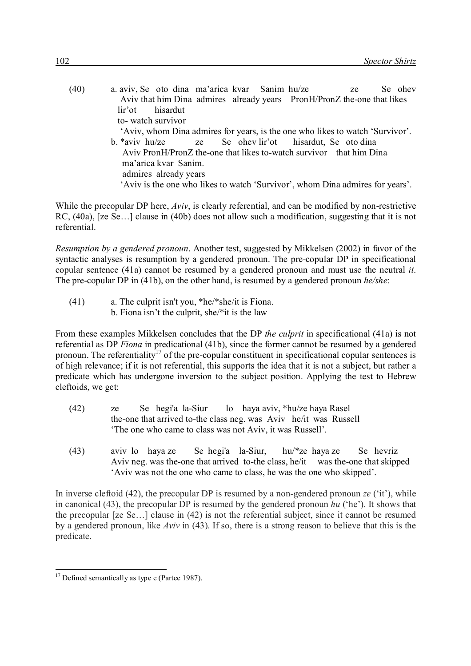| (40) | a aviv, Se oto dina ma'arica kvar Sanim hu/ze                                 |  |  |  |  | ze |  | Se ohev |  |
|------|-------------------------------------------------------------------------------|--|--|--|--|----|--|---------|--|
|      | Aviv that him Dina admires already years PronH/PronZ the-one that likes       |  |  |  |  |    |  |         |  |
|      | lir'ot hisardut                                                               |  |  |  |  |    |  |         |  |
|      | to-watch survivor                                                             |  |  |  |  |    |  |         |  |
|      | 'Aviv, whom Dina admires for years, is the one who likes to watch 'Survivor'. |  |  |  |  |    |  |         |  |
|      | b. *aviv hu/ze ze Se ohev lir'ot hisardut, Se oto dina                        |  |  |  |  |    |  |         |  |
|      | Aviv PronH/PronZ the-one that likes to-watch survivor that him Dina           |  |  |  |  |    |  |         |  |
|      | ma'arica kvar Sanim.                                                          |  |  |  |  |    |  |         |  |
|      | admires already years                                                         |  |  |  |  |    |  |         |  |
|      | 'Aviv is the one who likes to watch 'Survivor', whom Dina admires for years'. |  |  |  |  |    |  |         |  |

While the precopular DP here, *Aviv*, is clearly referential, and can be modified by non-restrictive RC, (40a), [ze Se…] clause in (40b) does not allow such a modification, suggesting that it is not referential.

*Resumption by a gendered pronoun*. Another test, suggested by Mikkelsen (2002) in favor of the syntactic analyses is resumption by a gendered pronoun. The pre-copular DP in specificational copular sentence (41a) cannot be resumed by a gendered pronoun and must use the neutral *it*. The pre-copular DP in (41b), on the other hand, is resumed by a gendered pronoun *he/she*:

(41) a. The culprit isn't you, \*he/\*she/it is Fiona. b. Fiona isn't the culprit, she/\*it is the law

From these examples Mikkelsen concludes that the DP *the culprit* in specificational (41a) is not referential as DP *Fiona* in predicational (41b), since the former cannot be resumed by a gendered pronoun. The referentiality<sup>17</sup> of the pre-copular constituent in specificational copular sentences is of high relevance; if it is not referential, this supports the idea that it is not a subject, but rather a predicate which has undergone inversion to the subject position. Applying the test to Hebrew cleftoids, we get:

- (42) ze Se hegi'a la-Siur lo haya aviv, \*hu/ze haya Rasel the-one that arrived to-the class neg. was Aviv he/it was Russell 'The one who came to class was not Aviv, it was Russell'.
- (43) aviv lo haya ze Se hegi'a la-Siur, hu/\*ze haya ze Se hevriz Aviv neg. was the-one that arrived to-the class, he/it was the-one that skipped 'Aviv was not the one who came to class, he was the one who skipped'.

In inverse cleftoid (42), the precopular DP is resumed by a non-gendered pronoun *ze* ('it'), while in canonical (43), the precopular DP is resumed by the gendered pronoun *hu* ('he'). It shows that the precopular [ze Se…] clause in (42) is not the referential subject, since it cannot be resumed by a gendered pronoun, like *Aviv* in (43). If so, there is a strong reason to believe that this is the predicate.

<sup>-</sup> $17$  Defined semantically as type e (Partee 1987).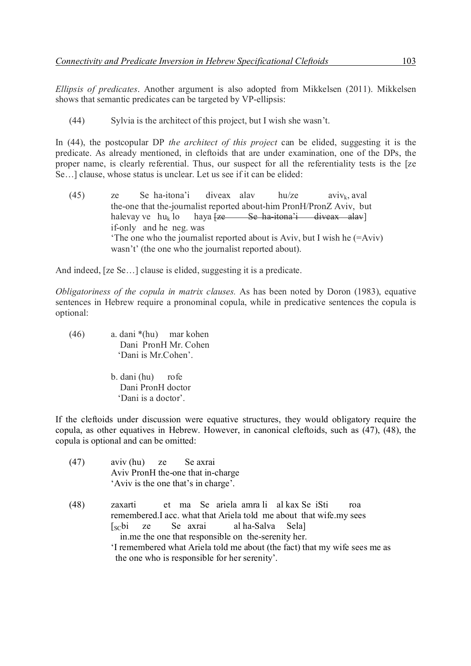*Ellipsis of predicates*. Another argument is also adopted from Mikkelsen (2011). Mikkelsen shows that semantic predicates can be targeted by VP-ellipsis:

(44) Sylvia is the architect of this project, but I wish she wasn't.

In (44), the postcopular DP *the architect of this project* can be elided, suggesting it is the predicate. As already mentioned, in cleftoids that are under examination, one of the DPs, the proper name, is clearly referential. Thus, our suspect for all the referentiality tests is the [ze Se…] clause, whose status is unclear. Let us see if it can be elided:

(45) ze Se ha-itona'i diveax alav hu/ze aviv<sub>k</sub>, aval the-one that the-journalist reported about-him PronH/PronZ Aviv, but halevay ve  $hu_k$  lo haya  $\{ze$  Se ha-itona'i diveax alay if-only and he neg. was 'The one who the journalist reported about is Aviv, but I wish he (=Aviv) wasn't' (the one who the journalist reported about).

And indeed, [ze Se…] clause is elided, suggesting it is a predicate.

*Obligatoriness of the copula in matrix clauses.* As has been noted by Doron (1983), equative sentences in Hebrew require a pronominal copula, while in predicative sentences the copula is optional:

- (46) a. dani \*(hu) mar kohen Dani PronH Mr. Cohen 'Dani is Mr.Cohen'.
	- b. dani (hu) rofe Dani PronH doctor 'Dani is a doctor'.

If the cleftoids under discussion were equative structures, they would obligatory require the copula, as other equatives in Hebrew. However, in canonical cleftoids, such as (47), (48), the copula is optional and can be omitted:

- (47) aviv (hu) ze Se axrai Aviv PronH the-one that in-charge 'Aviv is the one that's in charge'.
- (48) zaxarti et ma Se ariela amra li al kax Se iSti roa remembered.I acc. what that Ariela told me about that wife.my sees [SCbi ze Se axrai al ha-Salva Sela] in.me the one that responsible on the-serenity her. 'I remembered what Ariela told me about (the fact) that my wife sees me as the one who is responsible for her serenity'.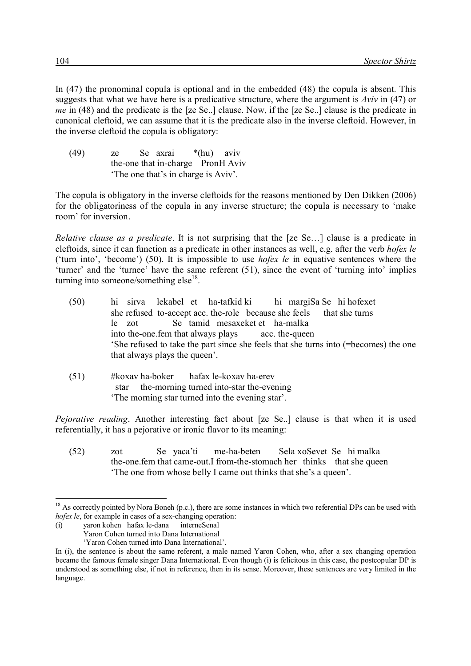In (47) the pronominal copula is optional and in the embedded (48) the copula is absent. This suggests that what we have here is a predicative structure, where the argument is *Aviv* in (47) or *me* in (48) and the predicate is the [ze Se..] clause. Now, if the [ze Se..] clause is the predicate in canonical cleftoid, we can assume that it is the predicate also in the inverse cleftoid. However, in the inverse cleftoid the copula is obligatory:

(49) ze Se axrai \*(hu) aviv the-one that in-charge PronH Aviv 'The one that's in charge is Aviv'.

The copula is obligatory in the inverse cleftoids for the reasons mentioned by Den Dikken (2006) for the obligatoriness of the copula in any inverse structure; the copula is necessary to 'make room' for inversion.

*Relative clause as a predicate*. It is not surprising that the [ze Se…] clause is a predicate in cleftoids, since it can function as a predicate in other instances as well, e.g. after the verb *hofex le* ('turn into', 'become') (50). It is impossible to use *hofex le* in equative sentences where the 'turner' and the 'turnee' have the same referent (51), since the event of 'turning into' implies turning into someone/something else $18$ .

- (50) hi sirva lekabel et ha-tafkid ki hi margiSa Se hi hofexet she refused to-accept acc. the-role because she feels that she turns le zot Se tamid mesaxeket et ha-malka into the-one.fem that always plays acc. the-queen 'She refused to take the part since she feels that she turns into (=becomes) the one that always plays the queen'.
- (51) #koxav ha-boker hafax le-koxav ha-erev star the-morning turned into-star the-evening 'The morning star turned into the evening star'.

*Pejorative reading*. Another interesting fact about [ze Se..] clause is that when it is used referentially, it has a pejorative or ironic flavor to its meaning:

(52) zot Se yaca'ti me-ha-beten Sela xoSevet Se hi malka the-one.fem that came-out.I from-the-stomach her thinks that she queen 'The one from whose belly I came out thinks that she's a queen'.

(i) yaron kohen hafax le-dana interneSenal Yaron Cohen turned into Dana International

-

'Yaron Cohen turned into Dana International'.

 $18$  As correctly pointed by Nora Boneh (p.c.), there are some instances in which two referential DPs can be used with *hofex le*, for example in cases of a sex-changing operation:

In (i), the sentence is about the same referent, a male named Yaron Cohen, who, after a sex changing operation became the famous female singer Dana International. Even though (i) is felicitous in this case, the postcopular DP is understood as something else, if not in reference, then in its sense. Moreover, these sentences are very limited in the language.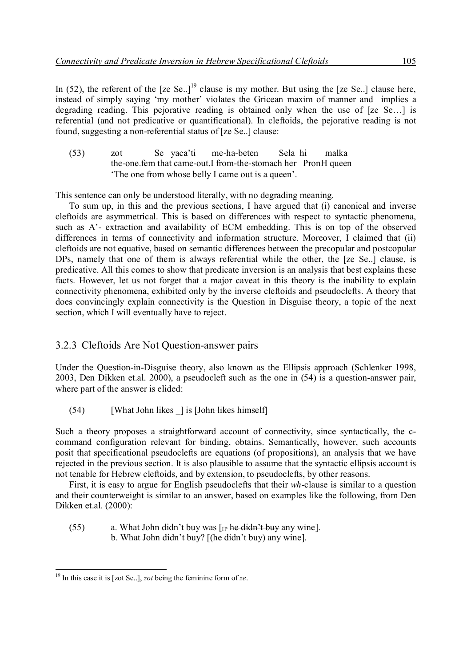In (52), the referent of the  $[ze Se.]<sup>19</sup>$  clause is my mother. But using the  $[ze Se.]<sup>19</sup>$  clause here, instead of simply saying 'my mother' violates the Gricean maxim of manner and implies a degrading reading. This pejorative reading is obtained only when the use of [ze Se…] is referential (and not predicative or quantificational). In cleftoids, the pejorative reading is not found, suggesting a non-referential status of [ze Se..] clause:

| (53) | zot |  | Se yaca'ti me-ha-beten Sela hi                                | malka |
|------|-----|--|---------------------------------------------------------------|-------|
|      |     |  | the-one fem that came-out. I from-the-stomach her PronH queen |       |
|      |     |  | The one from whose belly I came out is a queen'.              |       |

This sentence can only be understood literally, with no degrading meaning.

To sum up, in this and the previous sections, I have argued that (i) canonical and inverse cleftoids are asymmetrical. This is based on differences with respect to syntactic phenomena, such as A'- extraction and availability of ECM embedding. This is on top of the observed differences in terms of connectivity and information structure. Moreover, I claimed that (ii) cleftoids are not equative, based on semantic differences between the precopular and postcopular DPs, namely that one of them is always referential while the other, the [ze Se..] clause, is predicative. All this comes to show that predicate inversion is an analysis that best explains these facts. However, let us not forget that a major caveat in this theory is the inability to explain connectivity phenomena, exhibited only by the inverse cleftoids and pseudoclefts. A theory that does convincingly explain connectivity is the Question in Disguise theory, a topic of the next section, which I will eventually have to reject.

#### 3.2.3 Cleftoids Are Not Ouestion-answer pairs

Under the Question-in-Disguise theory, also known as the Ellipsis approach (Schlenker 1998, 2003, Den Dikken et.al. 2000), a pseudocleft such as the one in (54) is a question-answer pair, where part of the answer is elided:

 $(54)$  [What John likes ] is [John likes himself]

Such a theory proposes a straightforward account of connectivity, since syntactically, the ccommand configuration relevant for binding, obtains. Semantically, however, such accounts posit that specificational pseudoclefts are equations (of propositions), an analysis that we have rejected in the previous section. It is also plausible to assume that the syntactic ellipsis account is not tenable for Hebrew cleftoids, and by extension, to pseudoclefts, by other reasons.

First, it is easy to argue for English pseudoclefts that their *wh*-clause is similar to a question and their counterweight is similar to an answer, based on examples like the following, from Den Dikken et.al. (2000):

- (55) a. What John didn't buy was  $\lceil p \rceil$  he didn't buy any wine.
	- b. What John didn't buy? [(he didn't buy) any wine].

<sup>-</sup><sup>19</sup> In this case it is [zot Se..], *zot* being the feminine form of *ze*.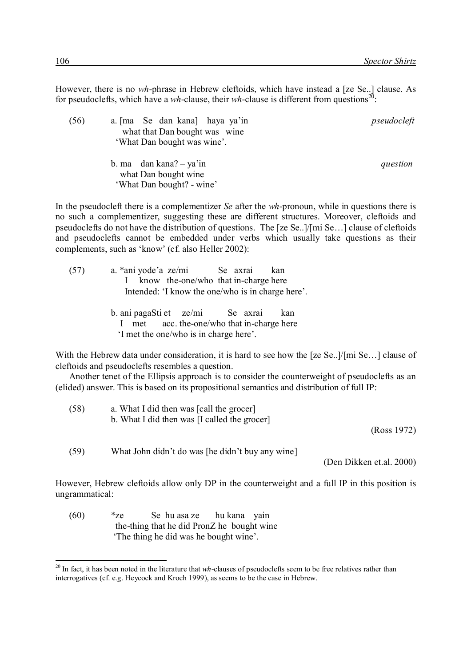However, there is no *wh*-phrase in Hebrew cleftoids, which have instead a [ze Se..] clause. As for pseudoclefts, which have a *wh*-clause, their *wh*-clause is different from questions<sup>20</sup>:

(56) a. [ma Se dan kana] haya ya'in *pseudocleft* what that Dan bought was wine 'What Dan bought was wine'. b. ma dan kana? – ya'in *question* what Dan bought wine 'What Dan bought? - wine'

In the pseudocleft there is a complementizer *Se* after the *wh*-pronoun, while in questions there is no such a complementizer, suggesting these are different structures. Moreover, cleftoids and pseudoclefts do not have the distribution of questions. The [ze Se..]/[mi Se…] clause of cleftoids and pseudoclefts cannot be embedded under verbs which usually take questions as their complements, such as 'know' (cf. also Heller 2002):

| (57) | a. *ani yode'a ze/mi Se axrai<br>kan                     |  |
|------|----------------------------------------------------------|--|
|      | know the-one/who that in-charge here                     |  |
|      | Intended: 'I know the one/who is in charge here'.        |  |
|      |                                                          |  |
|      | b. ani pagaSti et ze/mi Se axrai<br>kan                  |  |
|      | met acc. the-one/who that in-charge here<br>$\mathbf{L}$ |  |

'I met the one/who is in charge here'.

With the Hebrew data under consideration, it is hard to see how the [ze Se..]/[mi Se...] clause of cleftoids and pseudoclefts resembles a question.

Another tenet of the Ellipsis approach is to consider the counterweight of pseudoclefts as an (elided) answer. This is based on its propositional semantics and distribution of full IP:

| (58) | a. What I did then was [call the grocer]<br>b. What I did then was [I called the grocer] | (Ross 1972) |
|------|------------------------------------------------------------------------------------------|-------------|
| (59) | What John didn't do was [he didn't buy any wine]                                         |             |

(Den Dikken et.al. 2000)

However, Hebrew cleftoids allow only DP in the counterweight and a full IP in this position is ungrammatical:

(60) \*ze Se hu asa ze hu kana yain the-thing that he did PronZ he bought wine 'The thing he did was he bought wine'.

<sup>&</sup>lt;sup>20</sup> In fact, it has been noted in the literature that *wh*-clauses of pseudoclefts seem to be free relatives rather than interrogatives (cf. e.g. Heycock and Kroch 1999), as seems to be the case in Hebrew.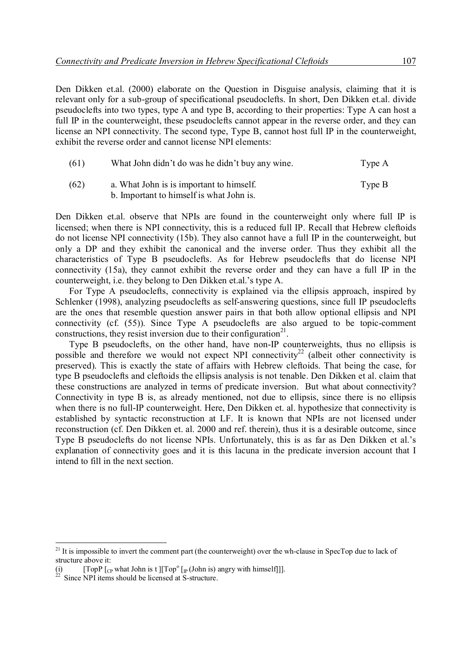Den Dikken et.al. (2000) elaborate on the Question in Disguise analysis, claiming that it is relevant only for a sub-group of specificational pseudoclefts. In short, Den Dikken et.al. divide pseudoclefts into two types, type A and type B, according to their properties: Type A can host a full IP in the counterweight, these pseudoclefts cannot appear in the reverse order, and they can license an NPI connectivity. The second type, Type B, cannot host full IP in the counterweight, exhibit the reverse order and cannot license NPI elements:

| (61) | What John didn't do was he didn't buy any wine. | Type A |
|------|-------------------------------------------------|--------|
| (62) | a. What John is is important to himself.        | Type B |
|      | b. Important to himself is what John is.        |        |

Den Dikken et.al. observe that NPIs are found in the counterweight only where full IP is licensed; when there is NPI connectivity, this is a reduced full IP. Recall that Hebrew cleftoids do not license NPI connectivity (15b). They also cannot have a full IP in the counterweight, but only a DP and they exhibit the canonical and the inverse order. Thus they exhibit all the characteristics of Type B pseudoclefts. As for Hebrew pseudoclefts that do license NPI connectivity (15a), they cannot exhibit the reverse order and they can have a full IP in the counterweight, i.e. they belong to Den Dikken et.al.'s type A.

For Type A pseudoclefts, connectivity is explained via the ellipsis approach, inspired by Schlenker (1998), analyzing pseudoclefts as self-answering questions, since full IP pseudoclefts are the ones that resemble question answer pairs in that both allow optional ellipsis and NPI connectivity (cf. (55)). Since Type A pseudoclefts are also argued to be topic-comment constructions, they resist inversion due to their configuration $2<sup>1</sup>$ .

Type B pseudoclefts, on the other hand, have non-IP counterweights, thus no ellipsis is possible and therefore we would not expect NPI connectivity<sup>22</sup> (albeit other connectivity is preserved). This is exactly the state of affairs with Hebrew cleftoids. That being the case, for type B pseudoclefts and cleftoids the ellipsis analysis is not tenable. Den Dikken et al. claim that these constructions are analyzed in terms of predicate inversion. But what about connectivity? Connectivity in type B is, as already mentioned, not due to ellipsis, since there is no ellipsis when there is no full-IP counterweight. Here, Den Dikken et. al. hypothesize that connectivity is established by syntactic reconstruction at LF. It is known that NPIs are not licensed under reconstruction (cf. Den Dikken et. al. 2000 and ref. therein), thus it is a desirable outcome, since Type B pseudoclefts do not license NPIs. Unfortunately, this is as far as Den Dikken et al.'s explanation of connectivity goes and it is this lacuna in the predicate inversion account that I intend to fill in the next section.

<sup>&</sup>lt;sup>21</sup> It is impossible to invert the comment part (the counterweight) over the wh-clause in SpecTop due to lack of structure above it:

<sup>(</sup>i)  $[TopP [CP]$  [CP what John is t ][Top<sup>o</sup> [TopP  $\lceil \int_{\mathbb{C}}$  what John is t  $\lceil \int \text{Top}^{\circ} \lceil \cdot \text{Top}^{\circ} \rceil \cdot \text{John}$  is) angry with himself]].

 $22$  Since NPI items should be licensed at S-structure.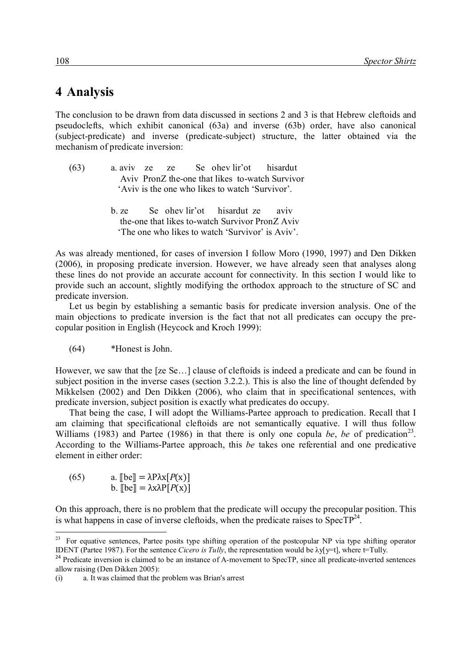## 4 Analysis

The conclusion to be drawn from data discussed in sections 2 and 3 is that Hebrew cleftoids and pseudoclefts, which exhibit canonical (63a) and inverse (63b) order, have also canonical (subject-predicate) and inverse (predicate-subject) structure, the latter obtained via the mechanism of predicate inversion:

| (63) |  |  | a aviv ze ze Se ohev lir' ot his ardut          |                                                 |
|------|--|--|-------------------------------------------------|-------------------------------------------------|
|      |  |  |                                                 | Aviv PronZ the-one that likes to-watch Survivor |
|      |  |  | 'Aviv is the one who likes to watch 'Survivor'. |                                                 |

b. ze Se ohev lir'ot hisardut ze aviv the-one that likes to-watch Survivor PronZ Aviv 'The one who likes to watch 'Survivor' is Aviv'.

As was already mentioned, for cases of inversion I follow Moro (1990, 1997) and Den Dikken (2006), in proposing predicate inversion. However, we have already seen that analyses along these lines do not provide an accurate account for connectivity. In this section I would like to provide such an account, slightly modifying the orthodox approach to the structure of SC and predicate inversion.

Let us begin by establishing a semantic basis for predicate inversion analysis. One of the main objections to predicate inversion is the fact that not all predicates can occupy the precopular position in English (Heycock and Kroch 1999):

(64) \*Honest is John.

However, we saw that the [ze Se…] clause of cleftoids is indeed a predicate and can be found in subject position in the inverse cases (section 3.2.2.). This is also the line of thought defended by Mikkelsen (2002) and Den Dikken (2006), who claim that in specificational sentences, with predicate inversion, subject position is exactly what predicates do occupy.

That being the case, I will adopt the Williams-Partee approach to predication. Recall that I am claiming that specificational cleftoids are not semantically equative. I will thus follow Williams (1983) and Partee (1986) in that there is only one copula *be*, *be* of predication<sup>23</sup>. According to the Williams-Partee approach, this *be* takes one referential and one predicative element in either order:

(65) a.  $\llbracket \text{be} \rrbracket = \lambda P \lambda x [P(x)]$ b.  $\lbrack \lbrack \text{be} \rbrack = \lambda x \lambda P[P(x)]$ 

On this approach, there is no problem that the predicate will occupy the precopular position. This is what happens in case of inverse cleftoids, when the predicate raises to  $SpecTP^{24}$ .

<sup>-</sup> $^{23}$  For equative sentences, Partee posits type shifting operation of the postcopular NP via type shifting operator IDENT (Partee 1987). For the sentence *Cicero is Tully*, the representation would be  $\lambda y$ [y=t], where t=Tully.

<sup>&</sup>lt;sup>24</sup> Predicate inversion is claimed to be an instance of A-movement to SpecTP, since all predicate-inverted sentences allow raising (Den Dikken 2005):

<sup>(</sup>i) a. It was claimed that the problem was Brian's arrest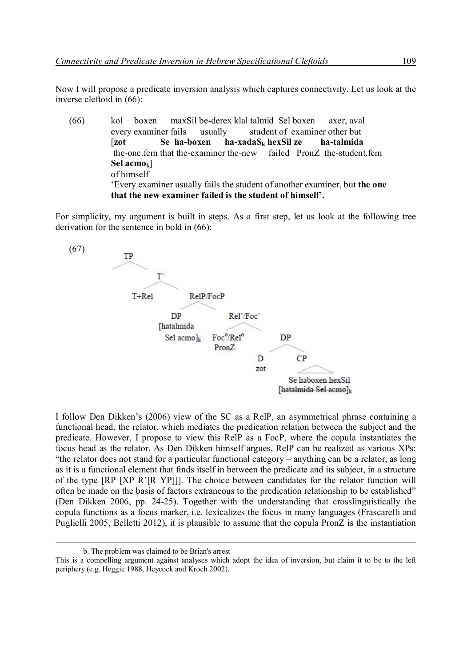Now I will propose a predicate inversion analysis which captures connectivity. Let us look at the inverse cleftoid in (66):

(66) kol boxen maxSil be-derex klal talmid Sel boxen axer, aval every examiner fails usually student of examiner other but [**zot Se ha-boxen ha-xadaS<sup>k</sup> hexSil ze ha-talmida**  the-one.fem that the-examiner the-new failed PronZ the-student.fem **Sel acmok**] of himself 'Every examiner usually fails the student of another examiner, but **the one that the new examiner failed is the student of himself'.** 

For simplicity, my argument is built in steps. As a first step, let us look at the following tree derivation for the sentence in bold in (66):



I follow Den Dikken's (2006) view of the SC as a RelP, an asymmetrical phrase containing a functional head, the relator, which mediates the predication relation between the subject and the predicate. However, I propose to view this RelP as a FocP, where the copula instantiates the focus head as the relator. As Den Dikken himself argues, RelP can be realized as various XPs: "the relator does not stand for a particular functional category – anything can be a relator, as long as it is a functional element that finds itself in between the predicate and its subject, in a structure of the type [RP [XP R'[R YP]]]. The choice between candidates for the relator function will often be made on the basis of factors extraneous to the predication relationship to be established" (Den Dikken 2006, pp. 24-25). Together with the understanding that crosslinguistically the copula functions as a focus marker, i.e. lexicalizes the focus in many languages (Frascarelli and Puglielli 2005, Belletti 2012), it is plausible to assume that the copula PronZ is the instantiation

b. The problem was claimed to be Brian's arrest

This is a compelling argument against analyses which adopt the idea of inversion, but claim it to be to the left periphery (e.g. Heggie 1988, Heycock and Kroch 2002).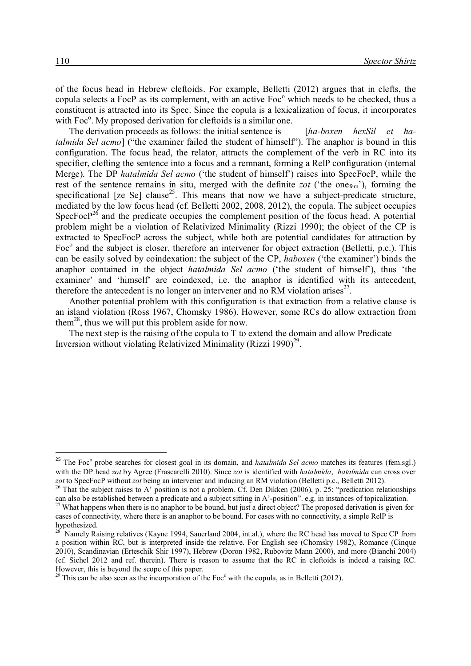of the focus head in Hebrew cleftoids. For example, Belletti (2012) argues that in clefts, the copula selects a FocP as its complement, with an active Foc<sup>o</sup> which needs to be checked, thus a constituent is attracted into its Spec. Since the copula is a lexicalization of focus, it incorporates with Foc<sup>o</sup>. My proposed derivation for cleftoids is a similar one.

The derivation proceeds as follows: the initial sentence is [*ha-boxen hexSil et hatalmida Sel acmo*] ("the examiner failed the student of himself"). The anaphor is bound in this configuration. The focus head, the relator, attracts the complement of the verb in RC into its specifier, clefting the sentence into a focus and a remnant, forming a RelP configuration (internal Merge). The DP *hatalmida Sel acmo* ('the student of himself') raises into SpecFocP, while the rest of the sentence remains in situ, merged with the definite *zot* ('the one<sub>fem</sub>'), forming the specificational [ze Se] clause<sup>25</sup>. This means that now we have a subject-predicate structure, mediated by the low focus head (cf. Belletti 2002, 2008, 2012), the copula. The subject occupies SpecFoc $P^{26}$  and the predicate occupies the complement position of the focus head. A potential problem might be a violation of Relativized Minimality (Rizzi 1990); the object of the CP is extracted to SpecFocP across the subject, while both are potential candidates for attraction by Foc<sup>o</sup> and the subject is closer, therefore an intervener for object extraction (Belletti, p.c.). This can be easily solved by coindexation: the subject of the CP, *haboxen* ('the examiner') binds the anaphor contained in the object *hatalmida Sel acmo* ('the student of himself'), thus 'the examiner' and 'himself' are coindexed, i.e. the anaphor is identified with its antecedent, therefore the antecedent is no longer an intervener and no RM violation arises<sup>27</sup>.

Another potential problem with this configuration is that extraction from a relative clause is an island violation (Ross 1967, Chomsky 1986). However, some RCs do allow extraction from them<sup>28</sup>, thus we will put this problem aside for now.

The next step is the raising of the copula to T to extend the domain and allow Predicate Inversion without violating Relativized Minimality (Rizzi 1990)<sup>29</sup>.

<sup>&</sup>lt;sup>25</sup> The Foc<sup>o</sup> probe searches for closest goal in its domain, and *hatalmida Sel acmo* matches its features (fem.sgl.) with the DP head *zot* by Agree (Frascarelli 2010). Since *zot* is identified with *hatalmida*, *hatalmida* can cross over *zot* to SpecFocP without *zot* being an intervener and inducing an RM violation (Belletti p.c., Belletti 2012).

<sup>&</sup>lt;sup>26</sup> That the subject raises to A' position is not a problem. Cf. Den Dikken (2006), p. 25: "predication relationships can also be established between a predicate and a subject sitting in A'-position". e.g. in instances of topicalization.

<sup>&</sup>lt;sup>27</sup> What happens when there is no anaphor to be bound, but just a direct object? The proposed derivation is given for cases of connectivity, where there is an anaphor to be bound. For cases with no connectivity, a simple RelP is hypothesized.

<sup>28</sup> Namely Raising relatives (Kayne 1994, Sauerland 2004, int.al.), where the RC head has moved to Spec CP from a position within RC, but is interpreted inside the relative. For English see (Chomsky 1982), Romance (Cinque 2010), Scandinavian (Erteschik Shir 1997), Hebrew (Doron 1982, Rubovitz Mann 2000), and more (Bianchi 2004) (cf. Sichel 2012 and ref. therein). There is reason to assume that the RC in cleftoids is indeed a raising RC. However, this is beyond the scope of this paper.

 $^{29}$  This can be also seen as the incorporation of the Foc<sup>o</sup> with the copula, as in Belletti (2012).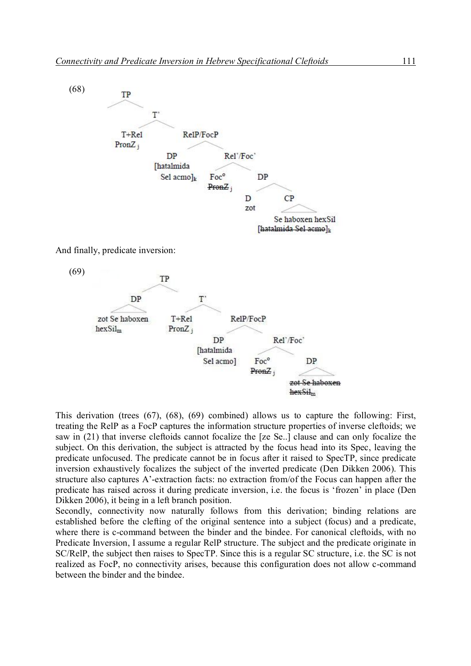

And finally, predicate inversion:



This derivation (trees (67), (68), (69) combined) allows us to capture the following: First, treating the RelP as a FocP captures the information structure properties of inverse cleftoids; we saw in (21) that inverse cleftoids cannot focalize the [ze Se..] clause and can only focalize the subject. On this derivation, the subject is attracted by the focus head into its Spec, leaving the predicate unfocused. The predicate cannot be in focus after it raised to SpecTP, since predicate inversion exhaustively focalizes the subject of the inverted predicate (Den Dikken 2006). This structure also captures A'-extraction facts: no extraction from/of the Focus can happen after the predicate has raised across it during predicate inversion, i.e. the focus is 'frozen' in place (Den Dikken 2006), it being in a left branch position.

Secondly, connectivity now naturally follows from this derivation; binding relations are established before the clefting of the original sentence into a subject (focus) and a predicate, where there is c-command between the binder and the bindee. For canonical cleftoids, with no Predicate Inversion, I assume a regular RelP structure. The subject and the predicate originate in SC/RelP, the subject then raises to SpecTP. Since this is a regular SC structure, i.e. the SC is not realized as FocP, no connectivity arises, because this configuration does not allow c-command between the binder and the bindee.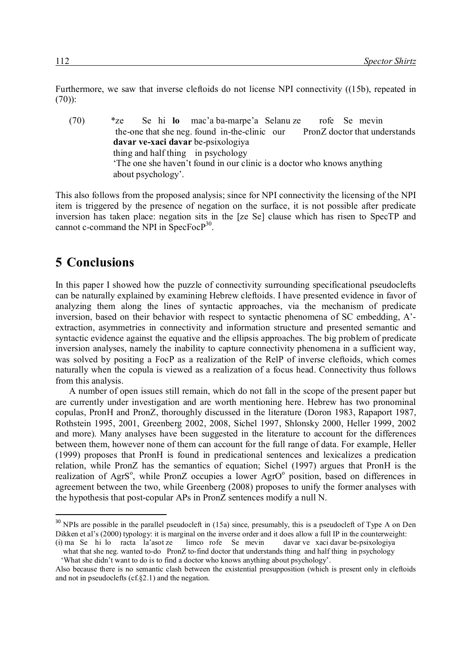Furthermore, we saw that inverse cleftoids do not license NPI connectivity ((15b), repeated in (70)):

(70) \*ze Se hi **lo** mac'a ba-marpe'a Selanu ze rofe Se mevin the-one that she neg. found in-the-clinic our PronZ doctor that understands **davar ve-xaci davar** be-psixologiya thing and half thing in psychology 'The one she haven't found in our clinic is a doctor who knows anything about psychology'.

This also follows from the proposed analysis; since for NPI connectivity the licensing of the NPI item is triggered by the presence of negation on the surface, it is not possible after predicate inversion has taken place: negation sits in the [ze Se] clause which has risen to SpecTP and cannot c-command the NPI in SpecFocP<sup>30</sup>.

### **5**x**Conclusions**

-

In this paper I showed how the puzzle of connectivity surrounding specificational pseudoclefts can be naturally explained by examining Hebrew cleftoids. I have presented evidence in favor of analyzing them along the lines of syntactic approaches, via the mechanism of predicate inversion, based on their behavior with respect to syntactic phenomena of SC embedding, A' extraction, asymmetries in connectivity and information structure and presented semantic and syntactic evidence against the equative and the ellipsis approaches. The big problem of predicate inversion analyses, namely the inability to capture connectivity phenomena in a sufficient way, was solved by positing a FocP as a realization of the RelP of inverse cleftoids, which comes naturally when the copula is viewed as a realization of a focus head. Connectivity thus follows from this analysis.

A number of open issues still remain, which do not fall in the scope of the present paper but are currently under investigation and are worth mentioning here. Hebrew has two pronominal copulas, PronH and PronZ, thoroughly discussed in the literature (Doron 1983, Rapaport 1987, Rothstein 1995, 2001, Greenberg 2002, 2008, Sichel 1997, Shlonsky 2000, Heller 1999, 2002 and more). Many analyses have been suggested in the literature to account for the differences between them, however none of them can account for the full range of data. For example, Heller (1999) proposes that PronH is found in predicational sentences and lexicalizes a predication relation, while PronZ has the semantics of equation; Sichel (1997) argues that PronH is the realization of AgrS<sup>o</sup>, while PronZ occupies a lower AgrO<sup>o</sup> position, based on differences in agreement between the two, while Greenberg (2008) proposes to unify the former analyses with the hypothesis that post-copular APs in PronZ sentences modify a null N.

 $30$  NPIs are possible in the parallel pseudocleft in (15a) since, presumably, this is a pseudocleft of Type A on Den Dikken et al's (2000) typology: it is marginal on the inverse order and it does allow a full IP in the counterweight:<br>(i) ma Se hi lo racta la'asot ze limco rofe Se mevin davar ve xaci davar be-psixologiya  $(i)$  ma Se hi lo racta la'asot ze

what that she neg. wanted to-do PronZ to-find doctor that understands thing and half thing in psychology 'What she didn't want to do is to find a doctor who knows anything about psychology'.

Also because there is no semantic clash between the existential presupposition (which is present only in cleftoids and not in pseudoclefts (cf.§2.1) and the negation.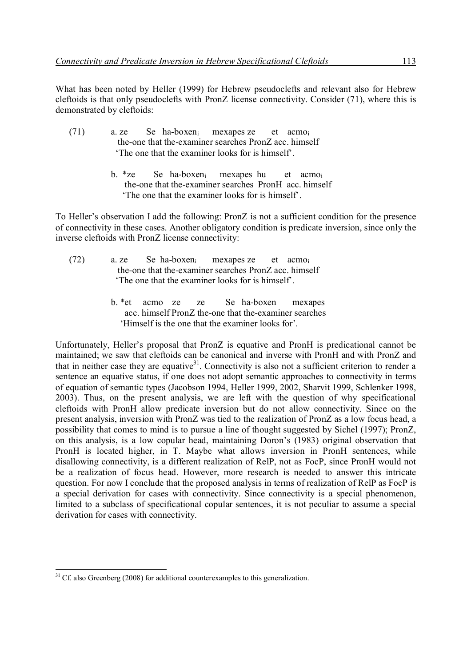What has been noted by Heller (1999) for Hebrew pseudoclefts and relevant also for Hebrew cleftoids is that only pseudoclefts with PronZ license connectivity. Consider (71), where this is demonstrated by cleftoids:

| (71) | a. ze |  | Se ha-boxen <sub>i</sub> mexapes ze et acmo <sub>i</sub> |  |
|------|-------|--|----------------------------------------------------------|--|
|      |       |  | the-one that the-examiner searches PronZ acc. himself    |  |
|      |       |  | The one that the examiner looks for is himself.          |  |

 b. \*ze Se ha-boxeni mexapes hu et acmo<sup>i</sup> the-one that the-examiner searches PronH acc. himself 'The one that the examiner looks for is himself'.

To Heller's observation I add the following: PronZ is not a sufficient condition for the presence of connectivity in these cases. Another obligatory condition is predicate inversion, since only the inverse cleftoids with PronZ license connectivity:

- (72) a. ze Se ha-boxeni mexapes ze et acmo<sup>i</sup> the-one that the-examiner searches PronZ acc. himself 'The one that the examiner looks for is himself'.
	- b. \*et acmo ze ze Se ha-boxen mexapes acc. himself PronZ the-one that the-examiner searches 'Himself is the one that the examiner looks for'.

Unfortunately, Heller's proposal that PronZ is equative and PronH is predicational cannot be maintained; we saw that cleftoids can be canonical and inverse with PronH and with PronZ and that in neither case they are equative<sup>31</sup>. Connectivity is also not a sufficient criterion to render a sentence an equative status, if one does not adopt semantic approaches to connectivity in terms of equation of semantic types (Jacobson 1994, Heller 1999, 2002, Sharvit 1999, Schlenker 1998, 2003). Thus, on the present analysis, we are left with the question of why specificational cleftoids with PronH allow predicate inversion but do not allow connectivity. Since on the present analysis, inversion with PronZ was tied to the realization of PronZ as a low focus head, a possibility that comes to mind is to pursue a line of thought suggested by Sichel (1997); PronZ, on this analysis, is a low copular head, maintaining Doron's (1983) original observation that PronH is located higher, in T. Maybe what allows inversion in PronH sentences, while disallowing connectivity, is a different realization of RelP, not as FocP, since PronH would not be a realization of focus head. However, more research is needed to answer this intricate question. For now I conclude that the proposed analysis in terms of realization of RelP as FocP is a special derivation for cases with connectivity. Since connectivity is a special phenomenon, limited to a subclass of specificational copular sentences, it is not peculiar to assume a special derivation for cases with connectivity.

<sup>-</sup> $31$  Cf. also Greenberg (2008) for additional counterexamples to this generalization.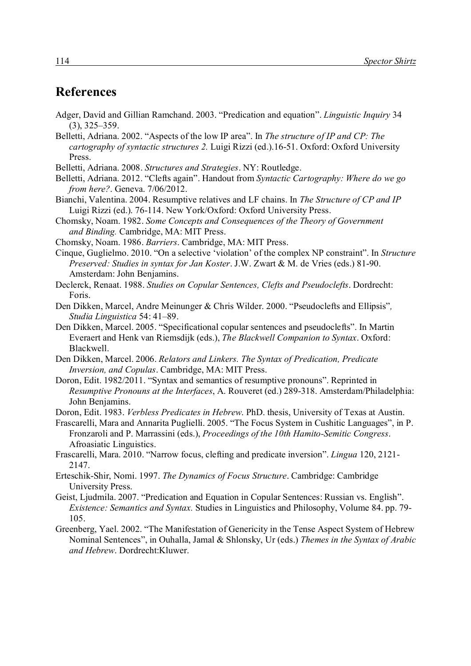## **References**

- Adger, David and Gillian Ramchand. 2003. "Predication and equation". *Linguistic Inquiry* 34 (3), 325–359.
- Belletti, Adriana. 2002. "Aspects of the low IP area". In *The structure of IP and CP: The cartography of syntactic structures 2.* Luigi Rizzi (ed.).16-51. Oxford: Oxford University Press.
- Belletti, Adriana. 2008. *Structures and Strategies*. NY: Routledge.

Belletti, Adriana. 2012. "Clefts again". Handout from *Syntactic Cartography: Where do we go from here?*. Geneva. 7/06/2012.

- Bianchi, Valentina. 2004. Resumptive relatives and LF chains. In *The Structure of CP and IP* Luigi Rizzi (ed.). 76-114. New York/Oxford: Oxford University Press.
- Chomsky, Noam. 1982. *Some Concepts and Consequences of the Theory of Government and Binding.* Cambridge, MA: MIT Press.
- Chomsky, Noam. 1986. *Barriers*. Cambridge, MA: MIT Press.
- Cinque, Guglielmo. 2010. "On a selective 'violation' of the complex NP constraint". In *Structure Preserved: Studies in syntax for Jan Koster*. J.W. Zwart & M. de Vries (eds.) 81-90. Amsterdam: John Benjamins.
- Declerck, Renaat. 1988. *Studies on Copular Sentences, Clefts and Pseudoclefts*. Dordrecht: Foris.
- Den Dikken, Marcel, Andre Meinunger & Chris Wilder. 2000. "Pseudoclefts and Ellipsis"*, Studia Linguistica* 54: 41–89.
- Den Dikken, Marcel. 2005. "Specificational copular sentences and pseudoclefts". In Martin Everaert and Henk van Riemsdijk (eds.), *The Blackwell Companion to Syntax*. Oxford: Blackwell.
- Den Dikken, Marcel. 2006. *Relators and Linkers. The Syntax of Predication, Predicate Inversion, and Copulas*. Cambridge, MA: MIT Press.
- Doron, Edit. 1982/2011. "Syntax and semantics of resumptive pronouns". Reprinted in *Resumptive Pronouns at the Interfaces*, A. Rouveret (ed.) 289-318. Amsterdam/Philadelphia: John Benjamins.
- Doron, Edit. 1983. *Verbless Predicates in Hebrew*. PhD. thesis, University of Texas at Austin.

Frascarelli, Mara and Annarita Puglielli. 2005. "The Focus System in Cushitic Languages", in P. Fronzaroli and P. Marrassini (eds.), *Proceedings of the 10th Hamito-Semitic Congress*. Afroasiatic Linguistics.

- Frascarelli, Mara. 2010. "Narrow focus, clefting and predicate inversion". *Lingua* 120, 2121- 2147.
- Erteschik-Shir, Nomi. 1997. *The Dynamics of Focus Structure*. Cambridge: Cambridge University Press.
- Geist, Ljudmila. 2007. "Predication and Equation in Copular Sentences: Russian vs. English". *Existence: Semantics and Syntax.* Studies in Linguistics and Philosophy, Volume 84. pp. 79- 105.
- Greenberg, Yael. 2002. "The Manifestation of Genericity in the Tense Aspect System of Hebrew Nominal Sentences", in Ouhalla, Jamal & Shlonsky, Ur (eds.) *Themes in the Syntax of Arabic and Hebrew*. Dordrecht:Kluwer.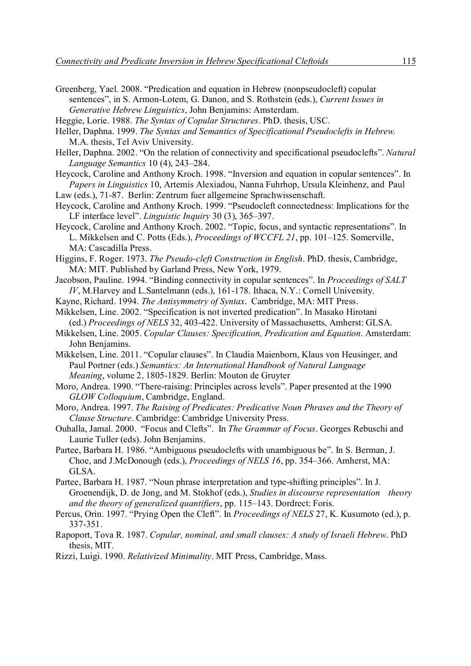- Greenberg, Yael. 2008. "Predication and equation in Hebrew (nonpseudocleft) copular sentences", in S. Armon-Lotem, G. Danon, and S. Rothstein (eds.), *Current Issues in Generative Hebrew Linguistics*, John Benjamins: Amsterdam.
- Heggie, Lorie. 1988. *The Syntax of Copular Structures*. PhD. thesis, USC.
- Heller, Daphna. 1999. *The Syntax and Semantics of Specificational Pseudoclefts in Hebrew.* M.A. thesis, Tel Aviv University.
- Heller, Daphna. 2002. "On the relation of connectivity and specificational pseudoclefts". *Natural Language Semantics* 10 (4), 243–284.
- Heycock, Caroline and Anthony Kroch. 1998. "Inversion and equation in copular sentences". In *Papers in Linguistics* 10, Artemis Alexiadou, Nanna Fuhrhop, Ursula Kleinhenz, and Paul

Law (eds.), 71-87. Berlin: Zentrum fuer allgemeine Sprachwissenschaft.

- Heycock, Caroline and Anthony Kroch. 1999. "Pseudocleft connectedness: Implications for the LF interface level". *Linguistic Inquiry* 30 (3), 365–397.
- Heycock, Caroline and Anthony Kroch. 2002. "Topic, focus, and syntactic representations". In L. Mikkelsen and C. Potts (Eds.), *Proceedings of WCCFL 21*, pp. 101–125. Somerville, MA: Cascadilla Press.
- Higgins, F. Roger. 1973. *The Pseudo-cleft Construction in English*. PhD. thesis, Cambridge, MA: MIT. Published by Garland Press, New York, 1979.
- Jacobson, Pauline. 1994. "Binding connectivity in copular sentences". In *Proceedings of SALT IV*, M.Harvey and L.Santelmann (eds.), 161-178. Ithaca, N.Y.: Cornell University.
- Kayne, Richard. 1994. *The Antisymmetry of Syntax*. Cambridge, MA: MIT Press.
- Mikkelsen, Line. 2002. "Specification is not inverted predication". In Masako Hirotani (ed.) *Proceedings of NELS* 32, 403-422. University of Massachusetts, Amherst: GLSA.
- Mikkelsen, Line. 2005. *Copular Clauses: Specification, Predication and Equation*. Amsterdam: John Benjamins.
- Mikkelsen, Line. 2011. "Copular clauses". In Claudia Maienborn, Klaus von Heusinger, and Paul Portner (eds.) *Semantics: An International Handbook of Natural Language Meaning*, volume 2, 1805-1829. Berlin: Mouton de Gruyter
- Moro, Andrea. 1990. "There-raising: Principles across levels". Paper presented at the 1990 *GLOW Colloquium*, Cambridge, England.
- Moro, Andrea. 1997. *The Raising of Predicates: Predicative Noun Phrases and the Theory of Clause Structure*. Cambridge: Cambridge University Press.
- Ouhalla, Jamal. 2000. "Focus and Clefts". In *The Grammar of Focus*. Georges Rebuschi and Laurie Tuller (eds). John Benjamins.
- Partee, Barbara H. 1986. "Ambiguous pseudoclefts with unambiguous be". In S. Berman, J. Choe, and J.McDonough (eds.), *Proceedings of NELS 16*, pp. 354–366. Amherst, MA: GLSA.
- Partee, Barbara H. 1987. "Noun phrase interpretation and type-shifting principles". In J. Groenendijk, D. de Jong, and M. Stokhof (eds.), *Studies in discourse representation theory and the theory of generalized quantifiers*, pp. 115–143. Dordrect: Foris.
- Percus, Orin. 1997. "Prying Open the Cleft". In *Proceedings of NELS* 27, K. Kusumoto (ed.), p. 337-351.
- Rapoport, Tova R. 1987. *Copular, nominal, and small clauses: A study of Israeli Hebrew*. PhD thesis, MIT.
- Rizzi, Luigi. 1990. *Relativized Minimality*. MIT Press, Cambridge, Mass.